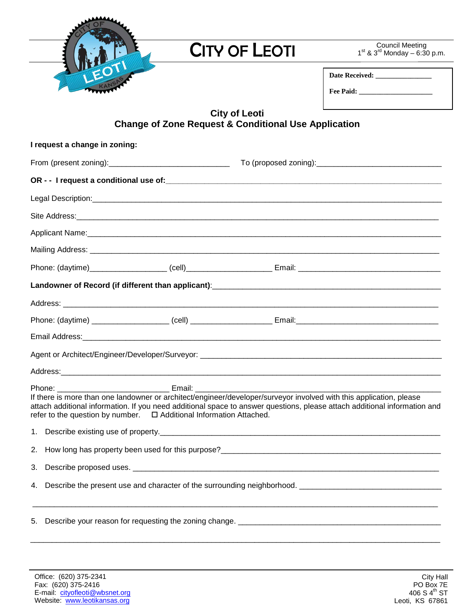| $\blacklozenge$ |
|-----------------|
|                 |

## **CITY OF LEOTI**

Council Meeting<br> $1^{\text{st}}$  &  $3^{\text{rd}}$  Monday – 6:30 p.m.

| <b>Date Received:</b> |  |
|-----------------------|--|
| <b>Fee Paid:</b>      |  |

## **City of Leoti Change of Zone Request & Conditional Use Application**

| I request a change in zoning:                                                                                                                                                                                                                                                                                            |  |  |  |
|--------------------------------------------------------------------------------------------------------------------------------------------------------------------------------------------------------------------------------------------------------------------------------------------------------------------------|--|--|--|
|                                                                                                                                                                                                                                                                                                                          |  |  |  |
|                                                                                                                                                                                                                                                                                                                          |  |  |  |
|                                                                                                                                                                                                                                                                                                                          |  |  |  |
|                                                                                                                                                                                                                                                                                                                          |  |  |  |
|                                                                                                                                                                                                                                                                                                                          |  |  |  |
|                                                                                                                                                                                                                                                                                                                          |  |  |  |
|                                                                                                                                                                                                                                                                                                                          |  |  |  |
|                                                                                                                                                                                                                                                                                                                          |  |  |  |
|                                                                                                                                                                                                                                                                                                                          |  |  |  |
|                                                                                                                                                                                                                                                                                                                          |  |  |  |
|                                                                                                                                                                                                                                                                                                                          |  |  |  |
|                                                                                                                                                                                                                                                                                                                          |  |  |  |
|                                                                                                                                                                                                                                                                                                                          |  |  |  |
| If there is more than one landowner or architect/engineer/developer/surveyor involved with this application, please<br>attach additional information. If you need additional space to answer questions, please attach additional information and<br>refer to the question by number.  □ Additional Information Attached. |  |  |  |
| 1.                                                                                                                                                                                                                                                                                                                       |  |  |  |
| 2.                                                                                                                                                                                                                                                                                                                       |  |  |  |
| 3.                                                                                                                                                                                                                                                                                                                       |  |  |  |
| 4.                                                                                                                                                                                                                                                                                                                       |  |  |  |
| 5.                                                                                                                                                                                                                                                                                                                       |  |  |  |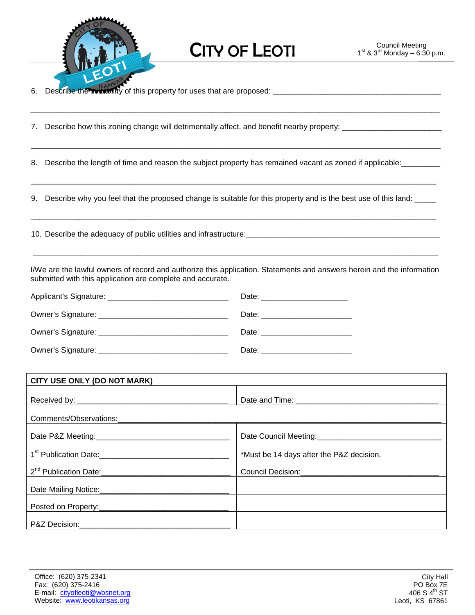

**CITY OF LEOTI** 

\_\_\_\_\_\_\_\_\_\_\_\_\_\_\_\_\_\_\_\_\_\_\_\_\_\_\_\_\_\_\_\_\_\_\_\_\_\_\_\_\_\_\_\_\_\_\_\_\_\_\_\_\_\_\_\_\_\_\_\_\_\_\_\_\_\_\_\_\_\_\_\_\_\_\_\_\_\_\_\_\_\_\_\_\_\_\_\_\_\_\_\_\_\_\_

\_\_\_\_\_\_\_\_\_\_\_\_\_\_\_\_\_\_\_\_\_\_\_\_\_\_\_\_\_\_\_\_\_\_\_\_\_\_\_\_\_\_\_\_\_\_\_\_\_\_\_\_\_\_\_\_\_\_\_\_\_\_\_\_\_\_\_\_\_\_\_\_\_\_\_\_\_\_\_\_\_\_\_\_\_\_\_\_\_\_\_\_\_\_\_

6. Describe the suitability of this property for uses that are proposed: \_\_\_\_\_\_\_\_\_\_\_\_\_\_\_\_\_\_\_\_\_\_\_\_\_\_\_\_\_\_\_\_\_\_\_\_\_\_\_

7. Describe how this zoning change will detrimentally affect, and benefit nearby property: \_\_\_\_\_\_\_\_\_\_\_\_\_\_\_\_\_\_\_

8. Describe the length of time and reason the subject property has remained vacant as zoned if applicable:

9. Describe why you feel that the proposed change is suitable for this property and is the best use of this land:

\_\_\_\_\_\_\_\_\_\_\_\_\_\_\_\_\_\_\_\_\_\_\_\_\_\_\_\_\_\_\_\_\_\_\_\_\_\_\_\_\_\_\_\_\_\_\_\_\_\_\_\_\_\_\_\_\_\_\_\_\_\_\_\_\_\_\_\_\_\_\_\_\_\_\_\_\_\_\_\_\_\_\_\_\_\_\_\_\_\_\_\_\_\_

\_\_\_\_\_\_\_\_\_\_\_\_\_\_\_\_\_\_\_\_\_\_\_\_\_\_\_\_\_\_\_\_\_\_\_\_\_\_\_\_\_\_\_\_\_\_\_\_\_\_\_\_\_\_\_\_\_\_\_\_\_\_\_\_\_\_\_\_\_\_\_\_\_\_\_\_\_\_\_\_\_\_\_\_\_\_\_\_\_\_\_\_\_\_

10. Describe the adequacy of public utilities and infrastructure:\_\_\_\_\_\_\_\_\_\_\_\_\_\_\_\_\_\_\_\_\_\_\_\_\_\_\_\_\_\_\_\_\_\_\_\_\_\_\_\_\_\_\_\_\_

I/We are the lawful owners of record and authorize this application. Statements and answers herein and the information submitted with this application are complete and accurate.

\_\_\_\_\_\_\_\_\_\_\_\_\_\_\_\_\_\_\_\_\_\_\_\_\_\_\_\_\_\_\_\_\_\_\_\_\_\_\_\_\_\_\_\_\_\_\_\_\_\_\_\_\_\_\_\_\_\_\_\_\_\_\_\_\_\_\_\_\_\_\_\_\_\_\_\_\_\_\_\_\_\_\_\_\_\_\_\_\_\_\_\_\_\_

| Date: ________________________ |
|--------------------------------|
| Date: ________________________ |
| Date: ______________________   |
| Date:                          |

| CITY USE ONLY (DO NOT MARK)                   |                                          |  |
|-----------------------------------------------|------------------------------------------|--|
|                                               |                                          |  |
|                                               |                                          |  |
|                                               |                                          |  |
|                                               |                                          |  |
| 1 <sup>st</sup> Publication Date:<br><u> </u> | *Must be 14 days after the P&Z decision. |  |
|                                               |                                          |  |
|                                               |                                          |  |
|                                               |                                          |  |
| P&Z Decision:_____________                    |                                          |  |